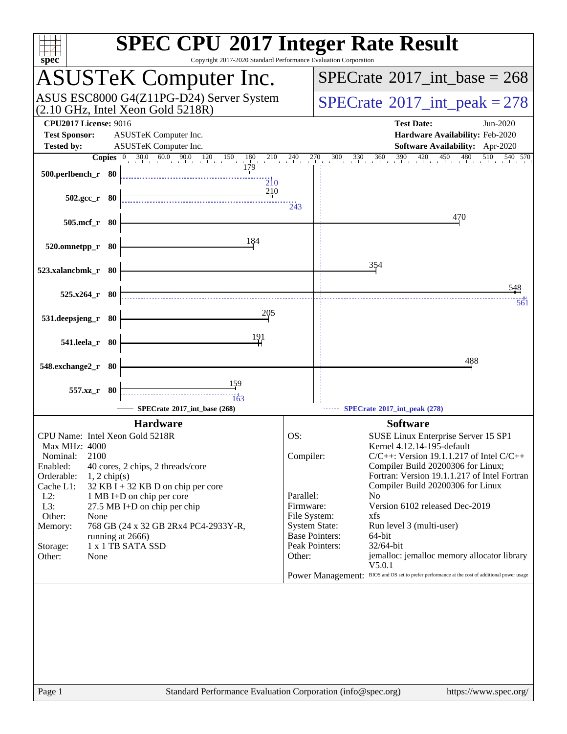| $spec^*$                                                                                                                                                                                                                      | <b>SPEC CPU®2017 Integer Rate Result</b><br>Copyright 2017-2020 Standard Performance Evaluation Corporation                                                                                                          |                                                      |                                                                                                                                                                                                                                                                                                                                                                                                                                                                                                                                                                                                                             |
|-------------------------------------------------------------------------------------------------------------------------------------------------------------------------------------------------------------------------------|----------------------------------------------------------------------------------------------------------------------------------------------------------------------------------------------------------------------|------------------------------------------------------|-----------------------------------------------------------------------------------------------------------------------------------------------------------------------------------------------------------------------------------------------------------------------------------------------------------------------------------------------------------------------------------------------------------------------------------------------------------------------------------------------------------------------------------------------------------------------------------------------------------------------------|
|                                                                                                                                                                                                                               | <b>ASUSTeK Computer Inc.</b>                                                                                                                                                                                         |                                                      | $SPECrate^{\circ}2017\_int\_base = 268$                                                                                                                                                                                                                                                                                                                                                                                                                                                                                                                                                                                     |
|                                                                                                                                                                                                                               | ASUS ESC8000 G4(Z11PG-D24) Server System<br>$(2.10 \text{ GHz}, \text{Intel Xeon Gold } 5218R)$                                                                                                                      |                                                      | $SPECrate^{\circledast}2017\_int\_peak = 278$                                                                                                                                                                                                                                                                                                                                                                                                                                                                                                                                                                               |
| <b>CPU2017 License: 9016</b><br><b>Test Sponsor:</b><br><b>Tested by:</b>                                                                                                                                                     | ASUSTeK Computer Inc.<br>ASUSTeK Computer Inc.                                                                                                                                                                       |                                                      | <b>Test Date:</b><br>Jun-2020<br>Hardware Availability: Feb-2020<br>Software Availability: Apr-2020                                                                                                                                                                                                                                                                                                                                                                                                                                                                                                                         |
| <b>Copies</b>                                                                                                                                                                                                                 |                                                                                                                                                                                                                      |                                                      | $\frac{300}{1}$ $\frac{330}{1}$ $\frac{360}{1}$ $\frac{390}{1}$ $\frac{420}{1}$ $\frac{450}{1}$ $\frac{480}{1}$<br>540 570<br>510                                                                                                                                                                                                                                                                                                                                                                                                                                                                                           |
| 500.perlbench_r 80                                                                                                                                                                                                            | $\overline{2}10$                                                                                                                                                                                                     |                                                      |                                                                                                                                                                                                                                                                                                                                                                                                                                                                                                                                                                                                                             |
| $502.\text{gcc r}$ 80                                                                                                                                                                                                         | 210                                                                                                                                                                                                                  | 243                                                  |                                                                                                                                                                                                                                                                                                                                                                                                                                                                                                                                                                                                                             |
| 505.mcf_r 80                                                                                                                                                                                                                  |                                                                                                                                                                                                                      |                                                      | 470                                                                                                                                                                                                                                                                                                                                                                                                                                                                                                                                                                                                                         |
| 520.omnetpp_r 80                                                                                                                                                                                                              | 184                                                                                                                                                                                                                  |                                                      |                                                                                                                                                                                                                                                                                                                                                                                                                                                                                                                                                                                                                             |
| 523.xalancbmk_r 80                                                                                                                                                                                                            |                                                                                                                                                                                                                      |                                                      | 354                                                                                                                                                                                                                                                                                                                                                                                                                                                                                                                                                                                                                         |
|                                                                                                                                                                                                                               |                                                                                                                                                                                                                      |                                                      | 548                                                                                                                                                                                                                                                                                                                                                                                                                                                                                                                                                                                                                         |
| $525.x264$ r 80                                                                                                                                                                                                               | 205                                                                                                                                                                                                                  |                                                      | 561                                                                                                                                                                                                                                                                                                                                                                                                                                                                                                                                                                                                                         |
| 531.deepsjeng_r 80                                                                                                                                                                                                            | 191                                                                                                                                                                                                                  |                                                      |                                                                                                                                                                                                                                                                                                                                                                                                                                                                                                                                                                                                                             |
| 541.leela_r 80                                                                                                                                                                                                                |                                                                                                                                                                                                                      |                                                      |                                                                                                                                                                                                                                                                                                                                                                                                                                                                                                                                                                                                                             |
| 548.exchange2_r 80                                                                                                                                                                                                            |                                                                                                                                                                                                                      |                                                      | 488                                                                                                                                                                                                                                                                                                                                                                                                                                                                                                                                                                                                                         |
| 557.xz_r 80                                                                                                                                                                                                                   | 159<br>163                                                                                                                                                                                                           |                                                      |                                                                                                                                                                                                                                                                                                                                                                                                                                                                                                                                                                                                                             |
|                                                                                                                                                                                                                               | SPECrate®2017_int_base (268)                                                                                                                                                                                         |                                                      | SPECrate*2017_int_peak (278)                                                                                                                                                                                                                                                                                                                                                                                                                                                                                                                                                                                                |
| CPU Name: Intel Xeon Gold 5218R<br>Max MHz: 4000<br>2100<br>Nominal:<br>Enabled:<br>Orderable:<br>$1, 2$ chip(s)<br>Cache L1:<br>$L2$ :<br>L3:<br>Other:<br>None<br>Memory:<br>running at 2666)<br>Storage:<br>Other:<br>None | <b>Hardware</b><br>40 cores, 2 chips, 2 threads/core<br>32 KB I + 32 KB D on chip per core<br>1 MB I+D on chip per core<br>27.5 MB I+D on chip per chip<br>768 GB (24 x 32 GB 2Rx4 PC4-2933Y-R,<br>1 x 1 TB SATA SSD | OS:<br>Compiler:<br>Parallel:<br>Firmware:<br>Other: | <b>Software</b><br>SUSE Linux Enterprise Server 15 SP1<br>Kernel 4.12.14-195-default<br>$C/C++$ : Version 19.1.1.217 of Intel $C/C++$<br>Compiler Build 20200306 for Linux;<br>Fortran: Version 19.1.1.217 of Intel Fortran<br>Compiler Build 20200306 for Linux<br>N <sub>0</sub><br>Version 6102 released Dec-2019<br>File System:<br>xfs<br><b>System State:</b><br>Run level 3 (multi-user)<br><b>Base Pointers:</b><br>64-bit<br>Peak Pointers:<br>32/64-bit<br>jemalloc: jemalloc memory allocator library<br>V5.0.1<br>Power Management: BIOS and OS set to prefer performance at the cost of additional power usage |
|                                                                                                                                                                                                                               |                                                                                                                                                                                                                      |                                                      |                                                                                                                                                                                                                                                                                                                                                                                                                                                                                                                                                                                                                             |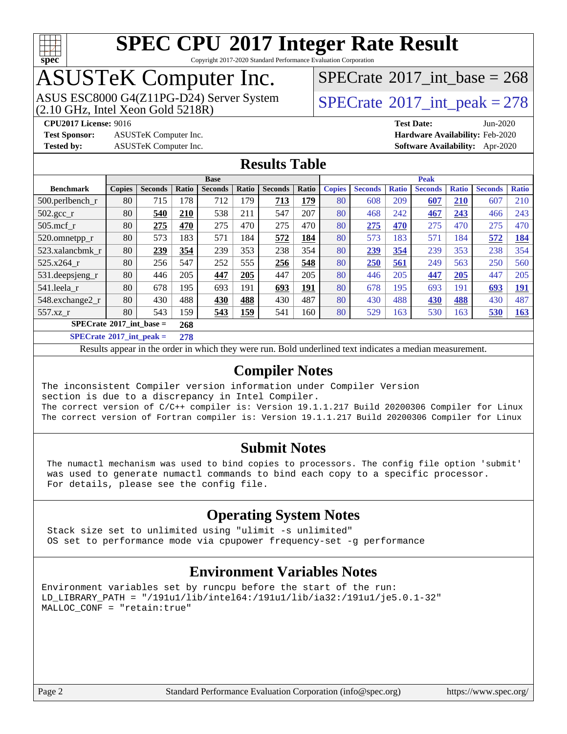

Copyright 2017-2020 Standard Performance Evaluation Corporation

### ASUSTeK Computer Inc.

 $(2.10$  GHz, Intel Xeon Gold  $5218R$ ) ASUS ESC8000 G4(Z11PG-D24) Server System  $\sqrt{\text{SPECrate}^{\otimes}2017\_int\_peak} = 278$  $\sqrt{\text{SPECrate}^{\otimes}2017\_int\_peak} = 278$  $\sqrt{\text{SPECrate}^{\otimes}2017\_int\_peak} = 278$ 

 $SPECTate$ <sup>®</sup>[2017\\_int\\_base =](http://www.spec.org/auto/cpu2017/Docs/result-fields.html#SPECrate2017intbase) 268

**[CPU2017 License:](http://www.spec.org/auto/cpu2017/Docs/result-fields.html#CPU2017License)** 9016 **[Test Date:](http://www.spec.org/auto/cpu2017/Docs/result-fields.html#TestDate)** Jun-2020

**[Test Sponsor:](http://www.spec.org/auto/cpu2017/Docs/result-fields.html#TestSponsor)** ASUSTeK Computer Inc. **[Hardware Availability:](http://www.spec.org/auto/cpu2017/Docs/result-fields.html#HardwareAvailability)** Feb-2020

**[Tested by:](http://www.spec.org/auto/cpu2017/Docs/result-fields.html#Testedby)** ASUSTeK Computer Inc. **[Software Availability:](http://www.spec.org/auto/cpu2017/Docs/result-fields.html#SoftwareAvailability)** Apr-2020

#### **[Results Table](http://www.spec.org/auto/cpu2017/Docs/result-fields.html#ResultsTable)**

| <b>Base</b>                       |               |                |       |                |            | <b>Peak</b>    |       |               |                |              |                |              |                |              |
|-----------------------------------|---------------|----------------|-------|----------------|------------|----------------|-------|---------------|----------------|--------------|----------------|--------------|----------------|--------------|
| <b>Benchmark</b>                  | <b>Copies</b> | <b>Seconds</b> | Ratio | <b>Seconds</b> | Ratio      | <b>Seconds</b> | Ratio | <b>Copies</b> | <b>Seconds</b> | <b>Ratio</b> | <b>Seconds</b> | <b>Ratio</b> | <b>Seconds</b> | <b>Ratio</b> |
| $500$ .perlbench r                | 80            | 715            | 178   | 712            | 179        | 713            | 179   | 80            | 608            | 209          | 607            | 210          | 607            | 210          |
| $502.\text{gcc\_r}$               | 80            | 540            | 210   | 538            | 211        | 547            | 207   | 80            | 468            | 242          | 467            | 243          | 466            | 243          |
| $505$ .mcf r                      | 80            | 275            | 470   | 275            | 470        | 275            | 470   | 80            | 275            | 470          | 275            | 470          | 275            | 470          |
| 520.omnetpp_r                     | 80            | 573            | 183   | 571            | 184        | 572            | 184   | 80            | 573            | 183          | 571            | 184          | 572            | 184          |
| 523.xalancbmk r                   | 80            | 239            | 354   | 239            | 353        | 238            | 354   | 80            | 239            | 354          | 239            | 353          | 238            | 354          |
| $525.x264$ r                      | 80            | 256            | 547   | 252            | 555        | 256            | 548   | 80            | 250            | 561          | 249            | 563          | 250            | 560          |
| 531.deepsjeng_r                   | 80            | 446            | 205   | 447            | 205        | 447            | 205   | 80            | 446            | 205          | 447            | 205          | 447            | 205          |
| 541.leela r                       | 80            | 678            | 195   | 693            | 191        | 693            | 191   | 80            | 678            | 195          | 693            | 191          | 693            | 191          |
| 548.exchange2_r                   | 80            | 430            | 488   | 430            | 488        | 430            | 487   | 80            | 430            | 488          | 430            | 488          | 430            | 487          |
| $557.xz$ r                        | 80            | 543            | 159   | 543            | <u>159</u> | 541            | 160   | 80            | 529            | 163          | 530            | 163          | 530            | 163          |
| $SPECrate^{\circ}2017$ int base = |               | 268            |       |                |            |                |       |               |                |              |                |              |                |              |

**[SPECrate](http://www.spec.org/auto/cpu2017/Docs/result-fields.html#SPECrate2017intpeak)[2017\\_int\\_peak =](http://www.spec.org/auto/cpu2017/Docs/result-fields.html#SPECrate2017intpeak) 278**

Results appear in the [order in which they were run](http://www.spec.org/auto/cpu2017/Docs/result-fields.html#RunOrder). Bold underlined text [indicates a median measurement](http://www.spec.org/auto/cpu2017/Docs/result-fields.html#Median).

#### **[Compiler Notes](http://www.spec.org/auto/cpu2017/Docs/result-fields.html#CompilerNotes)**

The inconsistent Compiler version information under Compiler Version section is due to a discrepancy in Intel Compiler. The correct version of C/C++ compiler is: Version 19.1.1.217 Build 20200306 Compiler for Linux The correct version of Fortran compiler is: Version 19.1.1.217 Build 20200306 Compiler for Linux

#### **[Submit Notes](http://www.spec.org/auto/cpu2017/Docs/result-fields.html#SubmitNotes)**

 The numactl mechanism was used to bind copies to processors. The config file option 'submit' was used to generate numactl commands to bind each copy to a specific processor. For details, please see the config file.

### **[Operating System Notes](http://www.spec.org/auto/cpu2017/Docs/result-fields.html#OperatingSystemNotes)**

 Stack size set to unlimited using "ulimit -s unlimited" OS set to performance mode via cpupower frequency-set -g performance

### **[Environment Variables Notes](http://www.spec.org/auto/cpu2017/Docs/result-fields.html#EnvironmentVariablesNotes)**

```
Environment variables set by runcpu before the start of the run:
LD_LIBRARY_PATH = "/191u1/lib/intel64:/191u1/lib/ia32:/191u1/je5.0.1-32"
MALLOC_CONF = "retain:true"
```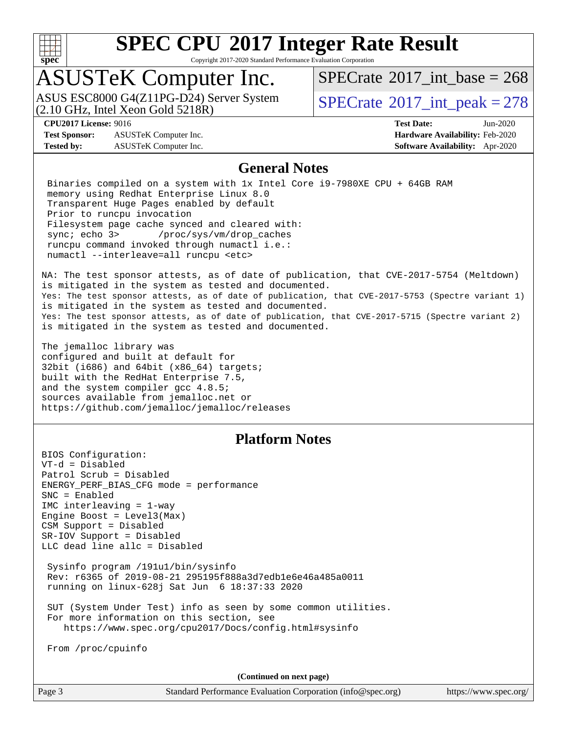

Copyright 2017-2020 Standard Performance Evaluation Corporation

### ASUSTeK Computer Inc.

(2.10 GHz, Intel Xeon Gold 5218R) ASUS ESC8000 G4(Z11PG-D24) Server System  $SPECrate^{\circ}2017$  $SPECrate^{\circ}2017$ \_int\_peak = 278

 $SPECTate$ <sup>®</sup>[2017\\_int\\_base =](http://www.spec.org/auto/cpu2017/Docs/result-fields.html#SPECrate2017intbase) 268

**[Test Sponsor:](http://www.spec.org/auto/cpu2017/Docs/result-fields.html#TestSponsor)** ASUSTeK Computer Inc. **[Hardware Availability:](http://www.spec.org/auto/cpu2017/Docs/result-fields.html#HardwareAvailability)** Feb-2020 **[Tested by:](http://www.spec.org/auto/cpu2017/Docs/result-fields.html#Testedby)** ASUSTeK Computer Inc. **[Software Availability:](http://www.spec.org/auto/cpu2017/Docs/result-fields.html#SoftwareAvailability)** Apr-2020

**[CPU2017 License:](http://www.spec.org/auto/cpu2017/Docs/result-fields.html#CPU2017License)** 9016 **[Test Date:](http://www.spec.org/auto/cpu2017/Docs/result-fields.html#TestDate)** Jun-2020

#### **[General Notes](http://www.spec.org/auto/cpu2017/Docs/result-fields.html#GeneralNotes)**

 Binaries compiled on a system with 1x Intel Core i9-7980XE CPU + 64GB RAM memory using Redhat Enterprise Linux 8.0 Transparent Huge Pages enabled by default Prior to runcpu invocation Filesystem page cache synced and cleared with: sync; echo 3> /proc/sys/vm/drop\_caches runcpu command invoked through numactl i.e.: numactl --interleave=all runcpu <etc>

NA: The test sponsor attests, as of date of publication, that CVE-2017-5754 (Meltdown) is mitigated in the system as tested and documented. Yes: The test sponsor attests, as of date of publication, that CVE-2017-5753 (Spectre variant 1) is mitigated in the system as tested and documented. Yes: The test sponsor attests, as of date of publication, that CVE-2017-5715 (Spectre variant 2) is mitigated in the system as tested and documented.

The jemalloc library was configured and built at default for 32bit (i686) and 64bit (x86\_64) targets; built with the RedHat Enterprise 7.5, and the system compiler gcc 4.8.5; sources available from jemalloc.net or <https://github.com/jemalloc/jemalloc/releases>

### **[Platform Notes](http://www.spec.org/auto/cpu2017/Docs/result-fields.html#PlatformNotes)**

BIOS Configuration: VT-d = Disabled Patrol Scrub = Disabled ENERGY\_PERF\_BIAS\_CFG mode = performance SNC = Enabled IMC interleaving = 1-way Engine Boost = Level3(Max) CSM Support = Disabled SR-IOV Support = Disabled LLC dead line allc = Disabled Sysinfo program /191u1/bin/sysinfo Rev: r6365 of 2019-08-21 295195f888a3d7edb1e6e46a485a0011 running on linux-628j Sat Jun 6 18:37:33 2020 SUT (System Under Test) info as seen by some common utilities. For more information on this section, see <https://www.spec.org/cpu2017/Docs/config.html#sysinfo> From /proc/cpuinfo

**(Continued on next page)**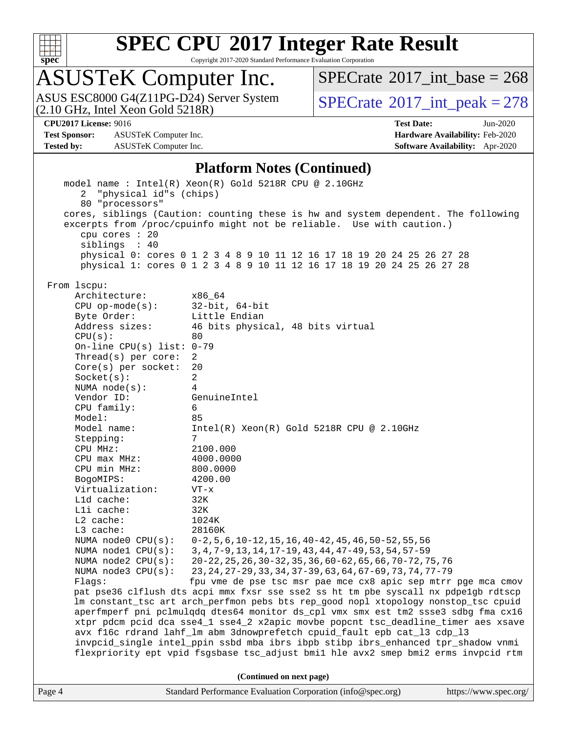

Copyright 2017-2020 Standard Performance Evaluation Corporation

## ASUSTeK Computer Inc.

 $SPECrate$ <sup>®</sup>[2017\\_int\\_base =](http://www.spec.org/auto/cpu2017/Docs/result-fields.html#SPECrate2017intbase) 268

ASUS ESC8000 G4(Z11PG-D24) Server System  $(2.10 \text{ GHz}, \text{ Intel Xeon Gold 5218R})$   $\big| \text{ SPECrate}^{\circledR} 2017 \text{ int\_peak} = 278$  $\big| \text{ SPECrate}^{\circledR} 2017 \text{ int\_peak} = 278$  $\big| \text{ SPECrate}^{\circledR} 2017 \text{ int\_peak} = 278$ 

**[Test Sponsor:](http://www.spec.org/auto/cpu2017/Docs/result-fields.html#TestSponsor)** ASUSTeK Computer Inc. **[Hardware Availability:](http://www.spec.org/auto/cpu2017/Docs/result-fields.html#HardwareAvailability)** Feb-2020 **[Tested by:](http://www.spec.org/auto/cpu2017/Docs/result-fields.html#Testedby)** ASUSTeK Computer Inc. **[Software Availability:](http://www.spec.org/auto/cpu2017/Docs/result-fields.html#SoftwareAvailability)** Apr-2020

**[CPU2017 License:](http://www.spec.org/auto/cpu2017/Docs/result-fields.html#CPU2017License)** 9016 **[Test Date:](http://www.spec.org/auto/cpu2017/Docs/result-fields.html#TestDate)** Jun-2020

#### **[Platform Notes \(Continued\)](http://www.spec.org/auto/cpu2017/Docs/result-fields.html#PlatformNotes)**

|                             | flexpriority ept vpid fsgsbase tsc_adjust bmil hle avx2 smep bmi2 erms invpcid rtm<br>(Continued on next page) |
|-----------------------------|----------------------------------------------------------------------------------------------------------------|
|                             |                                                                                                                |
|                             |                                                                                                                |
|                             | invpcid_single intel_ppin ssbd mba ibrs ibpb stibp ibrs_enhanced tpr_shadow vnmi                               |
|                             | avx f16c rdrand lahf_lm abm 3dnowprefetch cpuid_fault epb cat_13 cdp_13                                        |
|                             | xtpr pdcm pcid dca sse4_1 sse4_2 x2apic movbe popcnt tsc_deadline_timer aes xsave                              |
|                             | aperfmperf pni pclmulqdq dtes64 monitor ds_cpl vmx smx est tm2 ssse3 sdbg fma cx16                             |
|                             | lm constant_tsc art arch_perfmon pebs bts rep_good nopl xtopology nonstop_tsc cpuid                            |
|                             | pat pse36 clflush dts acpi mmx fxsr sse sse2 ss ht tm pbe syscall nx pdpelgb rdtscp                            |
| Flaqs:                      | fpu vme de pse tsc msr pae mce cx8 apic sep mtrr pge mca cmov                                                  |
| NUMA node3 CPU(s):          | 23, 24, 27-29, 33, 34, 37-39, 63, 64, 67-69, 73, 74, 77-79                                                     |
| NUMA $node2$ $CPU(s):$      | 20-22, 25, 26, 30-32, 35, 36, 60-62, 65, 66, 70-72, 75, 76                                                     |
| NUMA nodel CPU(s):          | 3, 4, 7-9, 13, 14, 17-19, 43, 44, 47-49, 53, 54, 57-59                                                         |
| NUMA $node0$ $CPU(s):$      | $0-2, 5, 6, 10-12, 15, 16, 40-42, 45, 46, 50-52, 55, 56$                                                       |
| L3 cache:                   | 28160K                                                                                                         |
| $L2$ cache:                 | 1024K                                                                                                          |
| Lld cache:<br>Lli cache:    | 32K<br>32K                                                                                                     |
| Virtualization:             | $VT - x$                                                                                                       |
| BogoMIPS:                   | 4200.00                                                                                                        |
| CPU min MHz:                | 800.0000                                                                                                       |
| $CPU$ max $MHz$ :           | 4000.0000                                                                                                      |
| CPU MHz:                    | 2100.000                                                                                                       |
| Stepping:                   | 7                                                                                                              |
| Model name:                 | $Intel(R) Xeon(R) Gold 5218R CPU @ 2.10GHz$                                                                    |
| Model:                      | 85                                                                                                             |
| CPU family:                 | 6                                                                                                              |
| Vendor ID:                  | GenuineIntel                                                                                                   |
| NUMA $node(s):$             | $\overline{4}$                                                                                                 |
| Socket(s):                  | 2                                                                                                              |
| $Core(s)$ per socket:       | 20                                                                                                             |
| Thread( $s$ ) per core:     | 2                                                                                                              |
| On-line CPU(s) list: $0-79$ |                                                                                                                |
| CPU(s):                     | 80                                                                                                             |
| Address sizes:              | 46 bits physical, 48 bits virtual                                                                              |
| Byte Order:                 | Little Endian                                                                                                  |
| $CPU$ op-mode( $s$ ):       | 32-bit, 64-bit                                                                                                 |
| Architecture:               | x86_64                                                                                                         |
| From 1scpu:                 |                                                                                                                |
|                             | physical 1: cores 0 1 2 3 4 8 9 10 11 12 16 17 18 19 20 24 25 26 27 28                                         |
|                             | physical 0: cores 0 1 2 3 4 8 9 10 11 12 16 17 18 19 20 24 25 26 27 28                                         |
| siblings : 40               |                                                                                                                |
| cpu cores : 20              |                                                                                                                |
|                             | excerpts from /proc/cpuinfo might not be reliable. Use with caution.)                                          |
|                             | cores, siblings (Caution: counting these is hw and system dependent. The following                             |
| 80 "processors"             |                                                                                                                |
|                             |                                                                                                                |
| 2 "physical id"s (chips)    | model name : Intel(R) Xeon(R) Gold 5218R CPU @ 2.10GHz                                                         |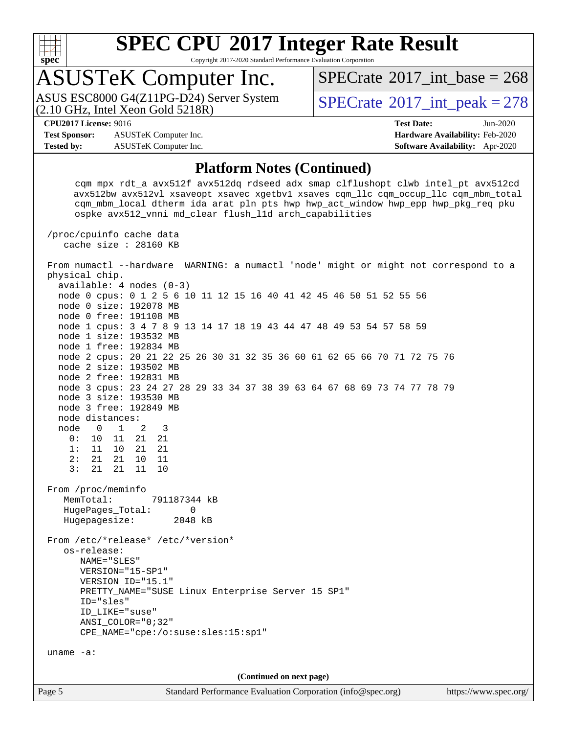

Copyright 2017-2020 Standard Performance Evaluation Corporation

### ASUSTeK Computer Inc.

(2.10 GHz, Intel Xeon Gold 5218R) ASUS ESC8000 G4(Z11PG-D24) Server System  $\text{SPECrate}^{\otimes}2017\_int\_peak = 278$  $\text{SPECrate}^{\otimes}2017\_int\_peak = 278$  $\text{SPECrate}^{\otimes}2017\_int\_peak = 278$ 

 $SPECTate$ <sup>®</sup>[2017\\_int\\_base =](http://www.spec.org/auto/cpu2017/Docs/result-fields.html#SPECrate2017intbase) 268

**[Test Sponsor:](http://www.spec.org/auto/cpu2017/Docs/result-fields.html#TestSponsor)** ASUSTeK Computer Inc. **[Hardware Availability:](http://www.spec.org/auto/cpu2017/Docs/result-fields.html#HardwareAvailability)** Feb-2020 **[Tested by:](http://www.spec.org/auto/cpu2017/Docs/result-fields.html#Testedby)** ASUSTeK Computer Inc. **[Software Availability:](http://www.spec.org/auto/cpu2017/Docs/result-fields.html#SoftwareAvailability)** Apr-2020

**[CPU2017 License:](http://www.spec.org/auto/cpu2017/Docs/result-fields.html#CPU2017License)** 9016 **[Test Date:](http://www.spec.org/auto/cpu2017/Docs/result-fields.html#TestDate)** Jun-2020

#### **[Platform Notes \(Continued\)](http://www.spec.org/auto/cpu2017/Docs/result-fields.html#PlatformNotes)**

Page 5 Standard Performance Evaluation Corporation [\(info@spec.org\)](mailto:info@spec.org) <https://www.spec.org/> cqm mpx rdt\_a avx512f avx512dq rdseed adx smap clflushopt clwb intel\_pt avx512cd avx512bw avx512vl xsaveopt xsavec xgetbv1 xsaves cqm\_llc cqm\_occup\_llc cqm\_mbm\_total cqm\_mbm\_local dtherm ida arat pln pts hwp hwp\_act\_window hwp\_epp hwp\_pkg\_req pku ospke avx512\_vnni md\_clear flush\_l1d arch\_capabilities /proc/cpuinfo cache data cache size : 28160 KB From numactl --hardware WARNING: a numactl 'node' might or might not correspond to a physical chip. available: 4 nodes (0-3) node 0 cpus: 0 1 2 5 6 10 11 12 15 16 40 41 42 45 46 50 51 52 55 56 node 0 size: 192078 MB node 0 free: 191108 MB node 1 cpus: 3 4 7 8 9 13 14 17 18 19 43 44 47 48 49 53 54 57 58 59 node 1 size: 193532 MB node 1 free: 192834 MB node 2 cpus: 20 21 22 25 26 30 31 32 35 36 60 61 62 65 66 70 71 72 75 76 node 2 size: 193502 MB node 2 free: 192831 MB node 3 cpus: 23 24 27 28 29 33 34 37 38 39 63 64 67 68 69 73 74 77 78 79 node 3 size: 193530 MB node 3 free: 192849 MB node distances: node 0 1 2 3 0: 10 11 21 21 1: 11 10 21 21  $\begin{array}{ccccccccc}\n2: & 21 & 21 & 10 & 11 \\
3: & 21 & 21 & 11 & 10\n\end{array}$ 3: 21 21 11 From /proc/meminfo MemTotal: 791187344 kB HugePages\_Total: 0 Hugepagesize: 2048 kB From /etc/\*release\* /etc/\*version\* os-release: NAME="SLES" VERSION="15-SP1" VERSION\_ID="15.1" PRETTY\_NAME="SUSE Linux Enterprise Server 15 SP1" ID="sles" ID\_LIKE="suse" ANSI\_COLOR="0;32" CPE\_NAME="cpe:/o:suse:sles:15:sp1" uname -a: **(Continued on next page)**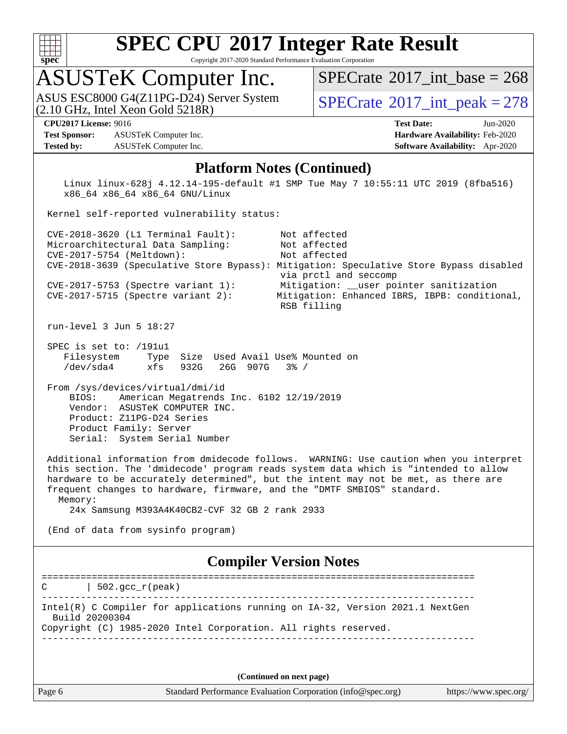

Copyright 2017-2020 Standard Performance Evaluation Corporation

# ASUSTeK Computer Inc.<br>ASUS ESC8000 G4(Z11PG-D24) Server System

 $(2.10$  GHz, Intel Xeon Gold  $5218R$ )

 $SPECrate$ <sup>®</sup>[2017\\_int\\_base =](http://www.spec.org/auto/cpu2017/Docs/result-fields.html#SPECrate2017intbase) 268

 $SPECTate<sup>®</sup>2017_int_ppeak = 278$ 

**[Test Sponsor:](http://www.spec.org/auto/cpu2017/Docs/result-fields.html#TestSponsor)** ASUSTeK Computer Inc. **[Hardware Availability:](http://www.spec.org/auto/cpu2017/Docs/result-fields.html#HardwareAvailability)** Feb-2020 **[Tested by:](http://www.spec.org/auto/cpu2017/Docs/result-fields.html#Testedby)** ASUSTeK Computer Inc. **[Software Availability:](http://www.spec.org/auto/cpu2017/Docs/result-fields.html#SoftwareAvailability)** Apr-2020

**[CPU2017 License:](http://www.spec.org/auto/cpu2017/Docs/result-fields.html#CPU2017License)** 9016 **[Test Date:](http://www.spec.org/auto/cpu2017/Docs/result-fields.html#TestDate)** Jun-2020

#### **[Platform Notes \(Continued\)](http://www.spec.org/auto/cpu2017/Docs/result-fields.html#PlatformNotes)**

 Linux linux-628j 4.12.14-195-default #1 SMP Tue May 7 10:55:11 UTC 2019 (8fba516) x86\_64 x86\_64 x86\_64 GNU/Linux

Kernel self-reported vulnerability status:

 CVE-2018-3620 (L1 Terminal Fault): Not affected Microarchitectural Data Sampling: Not affected CVE-2017-5754 (Meltdown): Not affected CVE-2018-3639 (Speculative Store Bypass): Mitigation: Speculative Store Bypass disabled via prctl and seccomp CVE-2017-5753 (Spectre variant 1): Mitigation: \_\_user pointer sanitization CVE-2017-5715 (Spectre variant 2): Mitigation: Enhanced IBRS, IBPB: conditional, RSB filling

run-level 3 Jun 5 18:27

 SPEC is set to: /191u1 Filesystem Type Size Used Avail Use% Mounted on /dev/sda4 xfs 932G 26G 907G 3% /

 From /sys/devices/virtual/dmi/id BIOS: American Megatrends Inc. 6102 12/19/2019 Vendor: ASUSTeK COMPUTER INC. Product: Z11PG-D24 Series Product Family: Server Serial: System Serial Number

 Additional information from dmidecode follows. WARNING: Use caution when you interpret this section. The 'dmidecode' program reads system data which is "intended to allow hardware to be accurately determined", but the intent may not be met, as there are frequent changes to hardware, firmware, and the "DMTF SMBIOS" standard. Memory:

24x Samsung M393A4K40CB2-CVF 32 GB 2 rank 2933

(End of data from sysinfo program)

#### **[Compiler Version Notes](http://www.spec.org/auto/cpu2017/Docs/result-fields.html#CompilerVersionNotes)**

==============================================================================  $C \qquad | \quad 502.\text{gcc\_r}(\text{peak})$ ------------------------------------------------------------------------------ Intel(R) C Compiler for applications running on IA-32, Version 2021.1 NextGen Build 20200304 Copyright (C) 1985-2020 Intel Corporation. All rights reserved. ------------------------------------------------------------------------------

**(Continued on next page)**

Page 6 Standard Performance Evaluation Corporation [\(info@spec.org\)](mailto:info@spec.org) <https://www.spec.org/>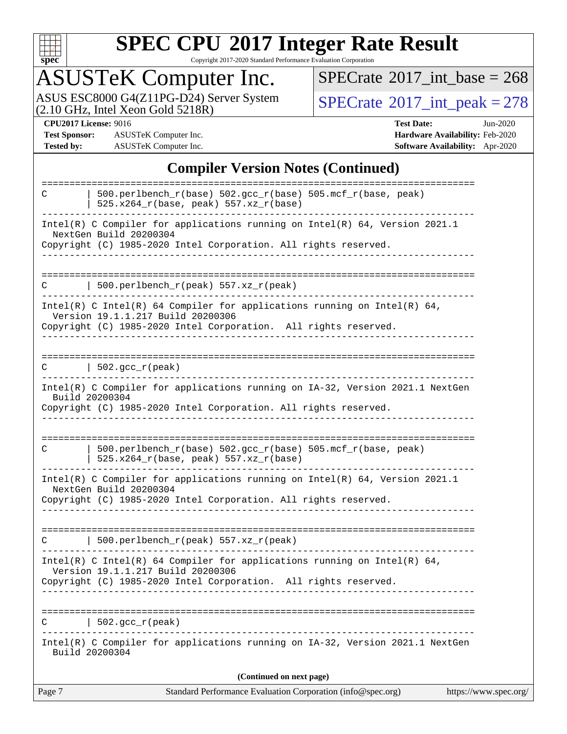

Copyright 2017-2020 Standard Performance Evaluation Corporation

## ASUSTeK Computer Inc.

ASUS ESC8000 G4(Z11PG-D24) Server System  $(2.10 \text{ GHz}, \text{ Intel Xeon Gold 5218R})$   $\big| \text{ SPECrate}^{\circledR} 2017 \text{ int\_peak} = 278$  $\big| \text{ SPECrate}^{\circledR} 2017 \text{ int\_peak} = 278$  $\big| \text{ SPECrate}^{\circledR} 2017 \text{ int\_peak} = 278$ 

 $SPECrate$ <sup>®</sup>[2017\\_int\\_base =](http://www.spec.org/auto/cpu2017/Docs/result-fields.html#SPECrate2017intbase) 268

**[Test Sponsor:](http://www.spec.org/auto/cpu2017/Docs/result-fields.html#TestSponsor)** ASUSTeK Computer Inc. **[Hardware Availability:](http://www.spec.org/auto/cpu2017/Docs/result-fields.html#HardwareAvailability)** Feb-2020 **[Tested by:](http://www.spec.org/auto/cpu2017/Docs/result-fields.html#Testedby)** ASUSTeK Computer Inc. **[Software Availability:](http://www.spec.org/auto/cpu2017/Docs/result-fields.html#SoftwareAvailability)** Apr-2020

**[CPU2017 License:](http://www.spec.org/auto/cpu2017/Docs/result-fields.html#CPU2017License)** 9016 **[Test Date:](http://www.spec.org/auto/cpu2017/Docs/result-fields.html#TestDate)** Jun-2020

#### **[Compiler Version Notes \(Continued\)](http://www.spec.org/auto/cpu2017/Docs/result-fields.html#CompilerVersionNotes)**

| 500.perlbench_r(base) 502.gcc_r(base) 505.mcf_r(base, peak)<br>C<br>525.x264_r(base, peak) 557.xz_r(base)<br>Intel(R) C Compiler for applications running on $Intel(R)$ 64, Version 2021.1<br>NextGen Build 20200304<br>Copyright (C) 1985-2020 Intel Corporation. All rights reserved.<br>  $500. perlbench_r (peak) 557. xz_r (peak)$<br>C<br>Intel(R) C Intel(R) 64 Compiler for applications running on Intel(R) 64,<br>Version 19.1.1.217 Build 20200306<br>Copyright (C) 1985-2020 Intel Corporation. All rights reserved.<br>$\vert$ 502.gcc_r(peak)<br>C<br>Intel(R) C Compiler for applications running on IA-32, Version 2021.1 NextGen<br>Build 20200304<br>Copyright (C) 1985-2020 Intel Corporation. All rights reserved.<br>$500. perlbench_r(base) 502. gcc_r(base) 505.mcf_r(base, peak)$<br>C<br>525.x264_r(base, peak) 557.xz_r(base)<br>Intel(R) C Compiler for applications running on Intel(R) $64$ , Version 2021.1<br>NextGen Build 20200304<br>Copyright (C) 1985-2020 Intel Corporation. All rights reserved.<br>  500.perlbench_r(peak) $557. xz_r$ (peak)<br>C<br>Intel(R) C Intel(R) 64 Compiler for applications running on Intel(R) 64,<br>Version 19.1.1.217 Build 20200306<br>Copyright (C) 1985-2020 Intel Corporation. All rights reserved.<br>$  502.\text{gcc_r(peak)}$<br>C<br>Intel(R) C Compiler for applications running on IA-32, Version 2021.1 NextGen<br>Build 20200304<br>(Continued on next page) |
|-------------------------------------------------------------------------------------------------------------------------------------------------------------------------------------------------------------------------------------------------------------------------------------------------------------------------------------------------------------------------------------------------------------------------------------------------------------------------------------------------------------------------------------------------------------------------------------------------------------------------------------------------------------------------------------------------------------------------------------------------------------------------------------------------------------------------------------------------------------------------------------------------------------------------------------------------------------------------------------------------------------------------------------------------------------------------------------------------------------------------------------------------------------------------------------------------------------------------------------------------------------------------------------------------------------------------------------------------------------------------------------------------------------------------------------------------|
|                                                                                                                                                                                                                                                                                                                                                                                                                                                                                                                                                                                                                                                                                                                                                                                                                                                                                                                                                                                                                                                                                                                                                                                                                                                                                                                                                                                                                                                 |
|                                                                                                                                                                                                                                                                                                                                                                                                                                                                                                                                                                                                                                                                                                                                                                                                                                                                                                                                                                                                                                                                                                                                                                                                                                                                                                                                                                                                                                                 |
|                                                                                                                                                                                                                                                                                                                                                                                                                                                                                                                                                                                                                                                                                                                                                                                                                                                                                                                                                                                                                                                                                                                                                                                                                                                                                                                                                                                                                                                 |
|                                                                                                                                                                                                                                                                                                                                                                                                                                                                                                                                                                                                                                                                                                                                                                                                                                                                                                                                                                                                                                                                                                                                                                                                                                                                                                                                                                                                                                                 |
|                                                                                                                                                                                                                                                                                                                                                                                                                                                                                                                                                                                                                                                                                                                                                                                                                                                                                                                                                                                                                                                                                                                                                                                                                                                                                                                                                                                                                                                 |
|                                                                                                                                                                                                                                                                                                                                                                                                                                                                                                                                                                                                                                                                                                                                                                                                                                                                                                                                                                                                                                                                                                                                                                                                                                                                                                                                                                                                                                                 |
|                                                                                                                                                                                                                                                                                                                                                                                                                                                                                                                                                                                                                                                                                                                                                                                                                                                                                                                                                                                                                                                                                                                                                                                                                                                                                                                                                                                                                                                 |
|                                                                                                                                                                                                                                                                                                                                                                                                                                                                                                                                                                                                                                                                                                                                                                                                                                                                                                                                                                                                                                                                                                                                                                                                                                                                                                                                                                                                                                                 |
|                                                                                                                                                                                                                                                                                                                                                                                                                                                                                                                                                                                                                                                                                                                                                                                                                                                                                                                                                                                                                                                                                                                                                                                                                                                                                                                                                                                                                                                 |
|                                                                                                                                                                                                                                                                                                                                                                                                                                                                                                                                                                                                                                                                                                                                                                                                                                                                                                                                                                                                                                                                                                                                                                                                                                                                                                                                                                                                                                                 |
|                                                                                                                                                                                                                                                                                                                                                                                                                                                                                                                                                                                                                                                                                                                                                                                                                                                                                                                                                                                                                                                                                                                                                                                                                                                                                                                                                                                                                                                 |
|                                                                                                                                                                                                                                                                                                                                                                                                                                                                                                                                                                                                                                                                                                                                                                                                                                                                                                                                                                                                                                                                                                                                                                                                                                                                                                                                                                                                                                                 |
|                                                                                                                                                                                                                                                                                                                                                                                                                                                                                                                                                                                                                                                                                                                                                                                                                                                                                                                                                                                                                                                                                                                                                                                                                                                                                                                                                                                                                                                 |
|                                                                                                                                                                                                                                                                                                                                                                                                                                                                                                                                                                                                                                                                                                                                                                                                                                                                                                                                                                                                                                                                                                                                                                                                                                                                                                                                                                                                                                                 |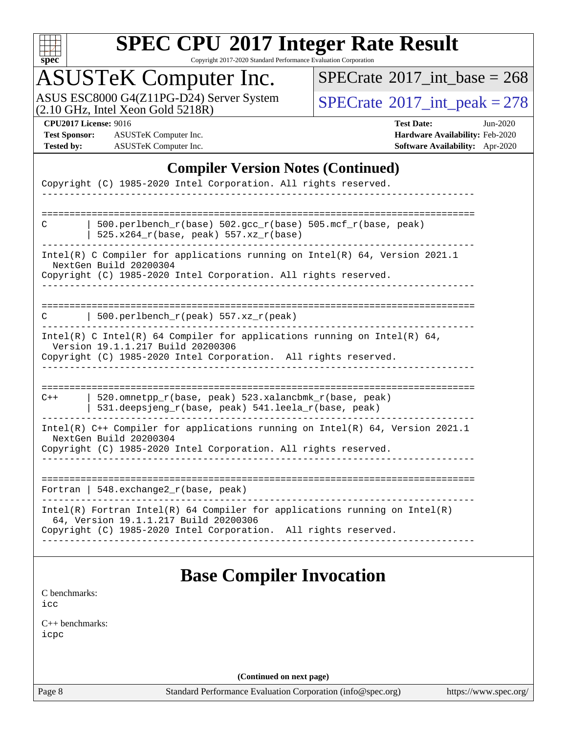

Copyright 2017-2020 Standard Performance Evaluation Corporation

### ASUSTeK Computer Inc.

 $SPECrate$ <sup>®</sup>[2017\\_int\\_base =](http://www.spec.org/auto/cpu2017/Docs/result-fields.html#SPECrate2017intbase) 268

ASUS ESC8000 G4(Z11PG-D24) Server System  $(2.10 \text{ GHz}, \text{ Intel Xeon Gold 5218R})$   $\big| \text{ SPECrate}^{\circledR} 2017 \text{ int\_peak} = 278$  $\big| \text{ SPECrate}^{\circledR} 2017 \text{ int\_peak} = 278$  $\big| \text{ SPECrate}^{\circledR} 2017 \text{ int\_peak} = 278$ 

**[Test Sponsor:](http://www.spec.org/auto/cpu2017/Docs/result-fields.html#TestSponsor)** ASUSTeK Computer Inc. **[Hardware Availability:](http://www.spec.org/auto/cpu2017/Docs/result-fields.html#HardwareAvailability)** Feb-2020 **[Tested by:](http://www.spec.org/auto/cpu2017/Docs/result-fields.html#Testedby)** ASUSTeK Computer Inc. **[Software Availability:](http://www.spec.org/auto/cpu2017/Docs/result-fields.html#SoftwareAvailability)** Apr-2020

**[CPU2017 License:](http://www.spec.org/auto/cpu2017/Docs/result-fields.html#CPU2017License)** 9016 **[Test Date:](http://www.spec.org/auto/cpu2017/Docs/result-fields.html#TestDate)** Jun-2020

#### **[Compiler Version Notes \(Continued\)](http://www.spec.org/auto/cpu2017/Docs/result-fields.html#CompilerVersionNotes)**

|       | Copyright (C) 1985-2020 Intel Corporation. All rights reserved.                                                                                                            |
|-------|----------------------------------------------------------------------------------------------------------------------------------------------------------------------------|
|       |                                                                                                                                                                            |
| C     | 500.perlbench_r(base) 502.gcc_r(base) 505.mcf_r(base, peak)<br>525.x264_r(base, peak) 557.xz_r(base)                                                                       |
|       | Intel(R) C Compiler for applications running on Intel(R) 64, Version 2021.1<br>NextGen Build 20200304<br>Copyright (C) 1985-2020 Intel Corporation. All rights reserved.   |
|       |                                                                                                                                                                            |
| С     | $500.perlbench_r(peak) 557. xz_r(peak)$                                                                                                                                    |
|       | Intel(R) C Intel(R) 64 Compiler for applications running on Intel(R) 64,<br>Version 19.1.1.217 Build 20200306                                                              |
|       | Copyright (C) 1985-2020 Intel Corporation. All rights reserved.                                                                                                            |
| $C++$ | 520.omnetpp_r(base, peak) 523.xalancbmk_r(base, peak)<br>531.deepsjeng_r(base, peak) 541.leela_r(base, peak)                                                               |
|       | Intel(R) C++ Compiler for applications running on Intel(R) 64, Version 2021.1<br>NextGen Build 20200304<br>Copyright (C) 1985-2020 Intel Corporation. All rights reserved. |
|       |                                                                                                                                                                            |
|       | Fortran   $548$ . exchange $2r$ (base, peak)                                                                                                                               |
|       | $Intel(R)$ Fortran Intel(R) 64 Compiler for applications running on Intel(R)<br>64, Version 19.1.1.217 Build 20200306                                                      |
|       | Copyright (C) 1985-2020 Intel Corporation. All rights reserved.                                                                                                            |

[C benchmarks](http://www.spec.org/auto/cpu2017/Docs/result-fields.html#Cbenchmarks): [icc](http://www.spec.org/cpu2017/results/res2020q3/cpu2017-20200731-23587.flags.html#user_CCbase_intel_icc_66fc1ee009f7361af1fbd72ca7dcefbb700085f36577c54f309893dd4ec40d12360134090235512931783d35fd58c0460139e722d5067c5574d8eaf2b3e37e92)

[C++ benchmarks:](http://www.spec.org/auto/cpu2017/Docs/result-fields.html#CXXbenchmarks) [icpc](http://www.spec.org/cpu2017/results/res2020q3/cpu2017-20200731-23587.flags.html#user_CXXbase_intel_icpc_c510b6838c7f56d33e37e94d029a35b4a7bccf4766a728ee175e80a419847e808290a9b78be685c44ab727ea267ec2f070ec5dc83b407c0218cded6866a35d07)

**(Continued on next page)**

Page 8 Standard Performance Evaluation Corporation [\(info@spec.org\)](mailto:info@spec.org) <https://www.spec.org/>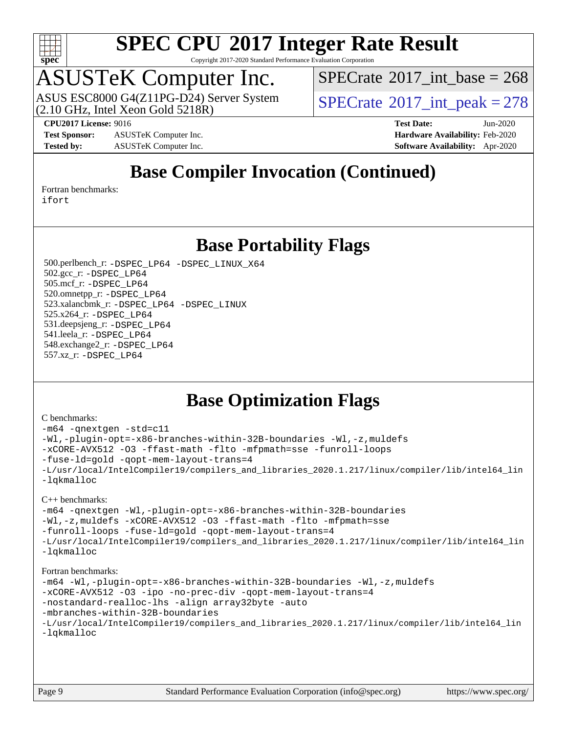

Copyright 2017-2020 Standard Performance Evaluation Corporation

### ASUSTeK Computer Inc.

(2.10 GHz, Intel Xeon Gold 5218R) ASUS ESC8000 G4(Z11PG-D24) Server System  $SPECrate^{\circ}2017$  $SPECrate^{\circ}2017$ \_int\_peak = 278

 $SPECTate$ <sup>®</sup>[2017\\_int\\_base =](http://www.spec.org/auto/cpu2017/Docs/result-fields.html#SPECrate2017intbase) 268

**[Test Sponsor:](http://www.spec.org/auto/cpu2017/Docs/result-fields.html#TestSponsor)** ASUSTeK Computer Inc. **[Hardware Availability:](http://www.spec.org/auto/cpu2017/Docs/result-fields.html#HardwareAvailability)** Feb-2020 **[Tested by:](http://www.spec.org/auto/cpu2017/Docs/result-fields.html#Testedby)** ASUSTeK Computer Inc. **[Software Availability:](http://www.spec.org/auto/cpu2017/Docs/result-fields.html#SoftwareAvailability)** Apr-2020

**[CPU2017 License:](http://www.spec.org/auto/cpu2017/Docs/result-fields.html#CPU2017License)** 9016 **[Test Date:](http://www.spec.org/auto/cpu2017/Docs/result-fields.html#TestDate)** Jun-2020

### **[Base Compiler Invocation \(Continued\)](http://www.spec.org/auto/cpu2017/Docs/result-fields.html#BaseCompilerInvocation)**

[Fortran benchmarks](http://www.spec.org/auto/cpu2017/Docs/result-fields.html#Fortranbenchmarks):

[ifort](http://www.spec.org/cpu2017/results/res2020q3/cpu2017-20200731-23587.flags.html#user_FCbase_intel_ifort_8111460550e3ca792625aed983ce982f94888b8b503583aa7ba2b8303487b4d8a21a13e7191a45c5fd58ff318f48f9492884d4413fa793fd88dd292cad7027ca)

### **[Base Portability Flags](http://www.spec.org/auto/cpu2017/Docs/result-fields.html#BasePortabilityFlags)**

 500.perlbench\_r: [-DSPEC\\_LP64](http://www.spec.org/cpu2017/results/res2020q3/cpu2017-20200731-23587.flags.html#b500.perlbench_r_basePORTABILITY_DSPEC_LP64) [-DSPEC\\_LINUX\\_X64](http://www.spec.org/cpu2017/results/res2020q3/cpu2017-20200731-23587.flags.html#b500.perlbench_r_baseCPORTABILITY_DSPEC_LINUX_X64) 502.gcc\_r: [-DSPEC\\_LP64](http://www.spec.org/cpu2017/results/res2020q3/cpu2017-20200731-23587.flags.html#suite_basePORTABILITY502_gcc_r_DSPEC_LP64) 505.mcf\_r: [-DSPEC\\_LP64](http://www.spec.org/cpu2017/results/res2020q3/cpu2017-20200731-23587.flags.html#suite_basePORTABILITY505_mcf_r_DSPEC_LP64) 520.omnetpp\_r: [-DSPEC\\_LP64](http://www.spec.org/cpu2017/results/res2020q3/cpu2017-20200731-23587.flags.html#suite_basePORTABILITY520_omnetpp_r_DSPEC_LP64) 523.xalancbmk\_r: [-DSPEC\\_LP64](http://www.spec.org/cpu2017/results/res2020q3/cpu2017-20200731-23587.flags.html#suite_basePORTABILITY523_xalancbmk_r_DSPEC_LP64) [-DSPEC\\_LINUX](http://www.spec.org/cpu2017/results/res2020q3/cpu2017-20200731-23587.flags.html#b523.xalancbmk_r_baseCXXPORTABILITY_DSPEC_LINUX) 525.x264\_r: [-DSPEC\\_LP64](http://www.spec.org/cpu2017/results/res2020q3/cpu2017-20200731-23587.flags.html#suite_basePORTABILITY525_x264_r_DSPEC_LP64) 531.deepsjeng\_r: [-DSPEC\\_LP64](http://www.spec.org/cpu2017/results/res2020q3/cpu2017-20200731-23587.flags.html#suite_basePORTABILITY531_deepsjeng_r_DSPEC_LP64) 541.leela\_r: [-DSPEC\\_LP64](http://www.spec.org/cpu2017/results/res2020q3/cpu2017-20200731-23587.flags.html#suite_basePORTABILITY541_leela_r_DSPEC_LP64) 548.exchange2\_r: [-DSPEC\\_LP64](http://www.spec.org/cpu2017/results/res2020q3/cpu2017-20200731-23587.flags.html#suite_basePORTABILITY548_exchange2_r_DSPEC_LP64) 557.xz\_r: [-DSPEC\\_LP64](http://www.spec.org/cpu2017/results/res2020q3/cpu2017-20200731-23587.flags.html#suite_basePORTABILITY557_xz_r_DSPEC_LP64)

### **[Base Optimization Flags](http://www.spec.org/auto/cpu2017/Docs/result-fields.html#BaseOptimizationFlags)**

#### [C benchmarks](http://www.spec.org/auto/cpu2017/Docs/result-fields.html#Cbenchmarks):

```
-m64 -qnextgen -std=c11
-Wl,-plugin-opt=-x86-branches-within-32B-boundaries -Wl,-z,muldefs
-xCORE-AVX512 -O3 -ffast-math -flto -mfpmath=sse -funroll-loops
-fuse-ld=gold -qopt-mem-layout-trans=4
-L/usr/local/IntelCompiler19/compilers_and_libraries_2020.1.217/linux/compiler/lib/intel64_lin
-lqkmalloc
```
#### [C++ benchmarks](http://www.spec.org/auto/cpu2017/Docs/result-fields.html#CXXbenchmarks):

```
-m64 -qnextgen -Wl,-plugin-opt=-x86-branches-within-32B-boundaries
-Wl,-z,muldefs -xCORE-AVX512 -O3 -ffast-math -flto -mfpmath=sse
-funroll-loops -fuse-ld=gold -qopt-mem-layout-trans=4
-L/usr/local/IntelCompiler19/compilers_and_libraries_2020.1.217/linux/compiler/lib/intel64_lin
-lqkmalloc
```
#### [Fortran benchmarks:](http://www.spec.org/auto/cpu2017/Docs/result-fields.html#Fortranbenchmarks)

```
-m64 -Wl,-plugin-opt=-x86-branches-within-32B-boundaries -Wl,-z,muldefs
-xCORE-AVX512 -O3 -ipo -no-prec-div -qopt-mem-layout-trans=4
-nostandard-realloc-lhs -align array32byte -auto
-mbranches-within-32B-boundaries
-L/usr/local/IntelCompiler19/compilers_and_libraries_2020.1.217/linux/compiler/lib/intel64_lin
-lqkmalloc
```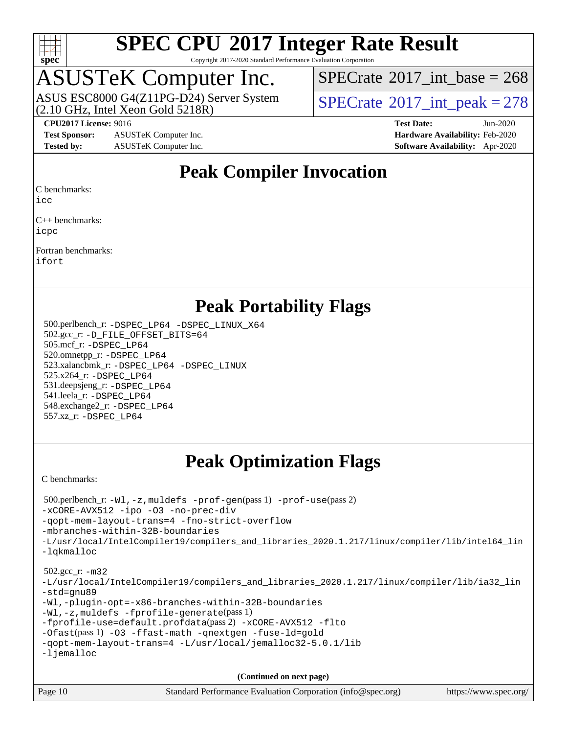

Copyright 2017-2020 Standard Performance Evaluation Corporation

# ASUSTeK Computer Inc.<br>ASUS ESC8000 G4(Z11PG-D24) Server System

(2.10 GHz, Intel Xeon Gold 5218R)

 $SPECTate$ <sup>®</sup>[2017\\_int\\_base =](http://www.spec.org/auto/cpu2017/Docs/result-fields.html#SPECrate2017intbase) 268

 $SPECTate@2017_int_ppeak = 278$ 

**[Test Sponsor:](http://www.spec.org/auto/cpu2017/Docs/result-fields.html#TestSponsor)** ASUSTeK Computer Inc. **[Hardware Availability:](http://www.spec.org/auto/cpu2017/Docs/result-fields.html#HardwareAvailability)** Feb-2020 **[Tested by:](http://www.spec.org/auto/cpu2017/Docs/result-fields.html#Testedby)** ASUSTeK Computer Inc. **[Software Availability:](http://www.spec.org/auto/cpu2017/Docs/result-fields.html#SoftwareAvailability)** Apr-2020

**[CPU2017 License:](http://www.spec.org/auto/cpu2017/Docs/result-fields.html#CPU2017License)** 9016 **[Test Date:](http://www.spec.org/auto/cpu2017/Docs/result-fields.html#TestDate)** Jun-2020

### **[Peak Compiler Invocation](http://www.spec.org/auto/cpu2017/Docs/result-fields.html#PeakCompilerInvocation)**

[C benchmarks](http://www.spec.org/auto/cpu2017/Docs/result-fields.html#Cbenchmarks):

[icc](http://www.spec.org/cpu2017/results/res2020q3/cpu2017-20200731-23587.flags.html#user_CCpeak_intel_icc_66fc1ee009f7361af1fbd72ca7dcefbb700085f36577c54f309893dd4ec40d12360134090235512931783d35fd58c0460139e722d5067c5574d8eaf2b3e37e92)

[C++ benchmarks](http://www.spec.org/auto/cpu2017/Docs/result-fields.html#CXXbenchmarks): [icpc](http://www.spec.org/cpu2017/results/res2020q3/cpu2017-20200731-23587.flags.html#user_CXXpeak_intel_icpc_c510b6838c7f56d33e37e94d029a35b4a7bccf4766a728ee175e80a419847e808290a9b78be685c44ab727ea267ec2f070ec5dc83b407c0218cded6866a35d07)

[Fortran benchmarks:](http://www.spec.org/auto/cpu2017/Docs/result-fields.html#Fortranbenchmarks) [ifort](http://www.spec.org/cpu2017/results/res2020q3/cpu2017-20200731-23587.flags.html#user_FCpeak_intel_ifort_8111460550e3ca792625aed983ce982f94888b8b503583aa7ba2b8303487b4d8a21a13e7191a45c5fd58ff318f48f9492884d4413fa793fd88dd292cad7027ca)

### **[Peak Portability Flags](http://www.spec.org/auto/cpu2017/Docs/result-fields.html#PeakPortabilityFlags)**

 500.perlbench\_r: [-DSPEC\\_LP64](http://www.spec.org/cpu2017/results/res2020q3/cpu2017-20200731-23587.flags.html#b500.perlbench_r_peakPORTABILITY_DSPEC_LP64) [-DSPEC\\_LINUX\\_X64](http://www.spec.org/cpu2017/results/res2020q3/cpu2017-20200731-23587.flags.html#b500.perlbench_r_peakCPORTABILITY_DSPEC_LINUX_X64) 502.gcc\_r: [-D\\_FILE\\_OFFSET\\_BITS=64](http://www.spec.org/cpu2017/results/res2020q3/cpu2017-20200731-23587.flags.html#user_peakPORTABILITY502_gcc_r_file_offset_bits_64_5ae949a99b284ddf4e95728d47cb0843d81b2eb0e18bdfe74bbf0f61d0b064f4bda2f10ea5eb90e1dcab0e84dbc592acfc5018bc955c18609f94ddb8d550002c) 505.mcf\_r: [-DSPEC\\_LP64](http://www.spec.org/cpu2017/results/res2020q3/cpu2017-20200731-23587.flags.html#suite_peakPORTABILITY505_mcf_r_DSPEC_LP64) 520.omnetpp\_r: [-DSPEC\\_LP64](http://www.spec.org/cpu2017/results/res2020q3/cpu2017-20200731-23587.flags.html#suite_peakPORTABILITY520_omnetpp_r_DSPEC_LP64) 523.xalancbmk\_r: [-DSPEC\\_LP64](http://www.spec.org/cpu2017/results/res2020q3/cpu2017-20200731-23587.flags.html#suite_peakPORTABILITY523_xalancbmk_r_DSPEC_LP64) [-DSPEC\\_LINUX](http://www.spec.org/cpu2017/results/res2020q3/cpu2017-20200731-23587.flags.html#b523.xalancbmk_r_peakCXXPORTABILITY_DSPEC_LINUX) 525.x264\_r: [-DSPEC\\_LP64](http://www.spec.org/cpu2017/results/res2020q3/cpu2017-20200731-23587.flags.html#suite_peakPORTABILITY525_x264_r_DSPEC_LP64) 531.deepsjeng\_r: [-DSPEC\\_LP64](http://www.spec.org/cpu2017/results/res2020q3/cpu2017-20200731-23587.flags.html#suite_peakPORTABILITY531_deepsjeng_r_DSPEC_LP64) 541.leela\_r: [-DSPEC\\_LP64](http://www.spec.org/cpu2017/results/res2020q3/cpu2017-20200731-23587.flags.html#suite_peakPORTABILITY541_leela_r_DSPEC_LP64) 548.exchange2\_r: [-DSPEC\\_LP64](http://www.spec.org/cpu2017/results/res2020q3/cpu2017-20200731-23587.flags.html#suite_peakPORTABILITY548_exchange2_r_DSPEC_LP64) 557.xz\_r: [-DSPEC\\_LP64](http://www.spec.org/cpu2017/results/res2020q3/cpu2017-20200731-23587.flags.html#suite_peakPORTABILITY557_xz_r_DSPEC_LP64)

### **[Peak Optimization Flags](http://www.spec.org/auto/cpu2017/Docs/result-fields.html#PeakOptimizationFlags)**

[C benchmarks](http://www.spec.org/auto/cpu2017/Docs/result-fields.html#Cbenchmarks):

```
Page 10 Standard Performance Evaluation Corporation (info@spec.org) https://www.spec.org/
  500.perlbench_r: -Wl,-z,muldefs -prof-gen(pass 1) -prof-use(pass 2)
-xCORE-AVX512 -ipo -O3 -no-prec-div
-qopt-mem-layout-trans=4 -fno-strict-overflow
-mbranches-within-32B-boundaries
-L/usr/local/IntelCompiler19/compilers_and_libraries_2020.1.217/linux/compiler/lib/intel64_lin
-lqkmalloc
  502.gcc_r: -m32
-L/usr/local/IntelCompiler19/compilers_and_libraries_2020.1.217/linux/compiler/lib/ia32_lin
-std=gnu89
-Wl,-plugin-opt=-x86-branches-within-32B-boundaries
-Wl,-z,muldefs -fprofile-generate(pass 1)
-fprofile-use=default.profdata(pass 2) -xCORE-AVX512 -flto
-Ofast(pass 1) -O3 -ffast-math -qnextgen -fuse-ld=gold
-qopt-mem-layout-trans=4 -L/usr/local/jemalloc32-5.0.1/lib
-ljemalloc
                                      (Continued on next page)
```